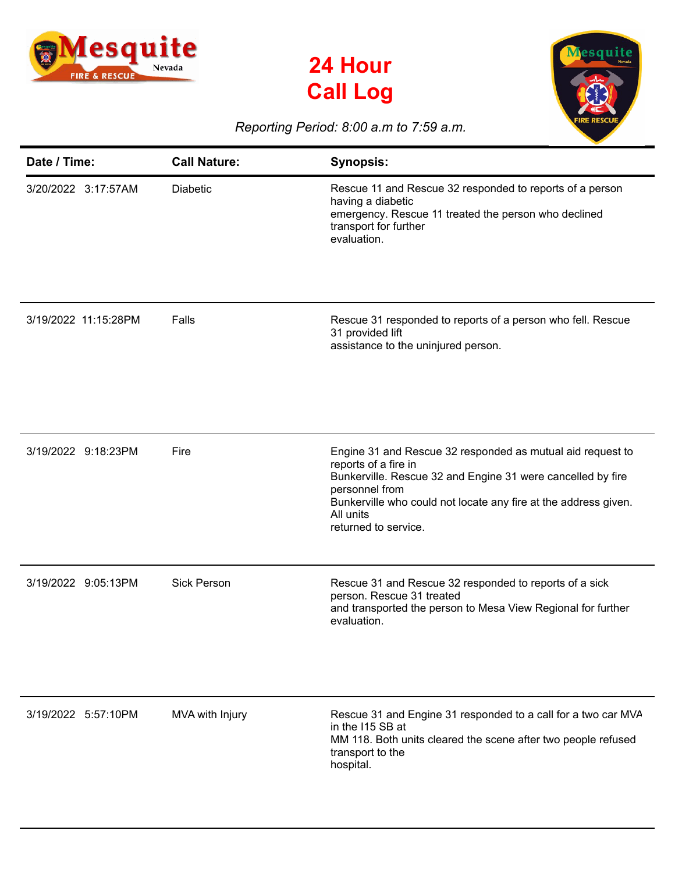

## **24 Hour Call Log**



## *Reporting Period: 8:00 a.m to 7:59 a.m.*

| Date / Time:         | <b>Call Nature:</b> | <b>Synopsis:</b>                                                                                                                                                                                                                                                            |
|----------------------|---------------------|-----------------------------------------------------------------------------------------------------------------------------------------------------------------------------------------------------------------------------------------------------------------------------|
| 3/20/2022 3:17:57AM  | <b>Diabetic</b>     | Rescue 11 and Rescue 32 responded to reports of a person<br>having a diabetic<br>emergency. Rescue 11 treated the person who declined<br>transport for further<br>evaluation.                                                                                               |
| 3/19/2022 11:15:28PM | Falls               | Rescue 31 responded to reports of a person who fell. Rescue<br>31 provided lift<br>assistance to the uninjured person.                                                                                                                                                      |
| 3/19/2022 9:18:23PM  | Fire                | Engine 31 and Rescue 32 responded as mutual aid request to<br>reports of a fire in<br>Bunkerville. Rescue 32 and Engine 31 were cancelled by fire<br>personnel from<br>Bunkerville who could not locate any fire at the address given.<br>All units<br>returned to service. |
| 3/19/2022 9:05:13PM  | <b>Sick Person</b>  | Rescue 31 and Rescue 32 responded to reports of a sick<br>person. Rescue 31 treated<br>and transported the person to Mesa View Regional for further<br>evaluation.                                                                                                          |
| 3/19/2022 5:57:10PM  | MVA with Injury     | Rescue 31 and Engine 31 responded to a call for a two car MVA<br>in the I15 SB at<br>MM 118. Both units cleared the scene after two people refused<br>transport to the<br>hospital.                                                                                         |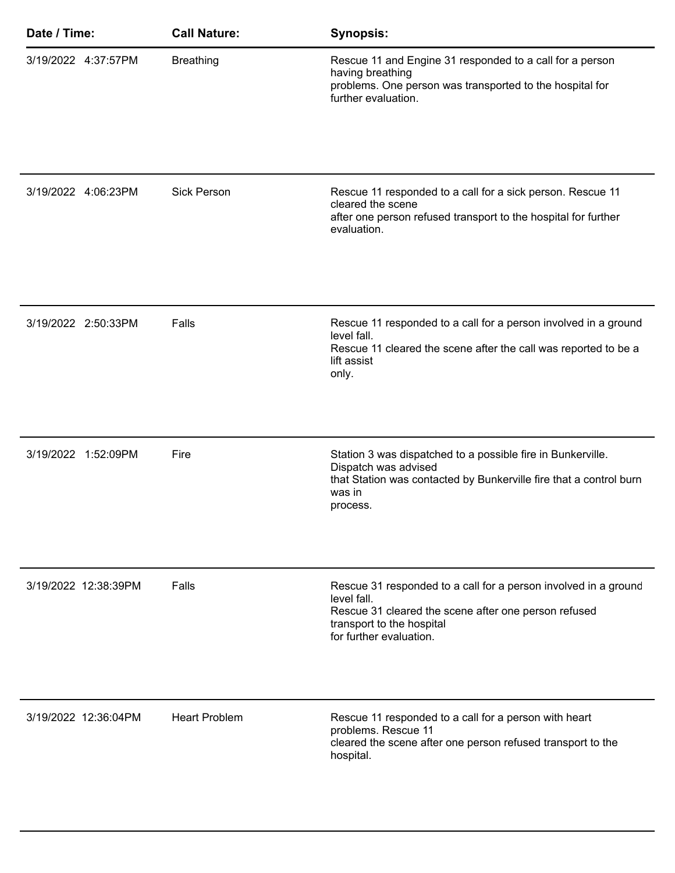| Date / Time:         | <b>Call Nature:</b>  | <b>Synopsis:</b>                                                                                                                                                                               |
|----------------------|----------------------|------------------------------------------------------------------------------------------------------------------------------------------------------------------------------------------------|
| 3/19/2022 4:37:57PM  | <b>Breathing</b>     | Rescue 11 and Engine 31 responded to a call for a person<br>having breathing<br>problems. One person was transported to the hospital for<br>further evaluation.                                |
| 3/19/2022 4:06:23PM  | <b>Sick Person</b>   | Rescue 11 responded to a call for a sick person. Rescue 11<br>cleared the scene<br>after one person refused transport to the hospital for further<br>evaluation.                               |
| 3/19/2022 2:50:33PM  | Falls                | Rescue 11 responded to a call for a person involved in a ground<br>level fall.<br>Rescue 11 cleared the scene after the call was reported to be a<br>lift assist<br>only.                      |
| 3/19/2022 1:52:09PM  | Fire                 | Station 3 was dispatched to a possible fire in Bunkerville.<br>Dispatch was advised<br>that Station was contacted by Bunkerville fire that a control burn<br>was in<br>process.                |
| 3/19/2022 12:38:39PM | Falls                | Rescue 31 responded to a call for a person involved in a ground<br>level fall.<br>Rescue 31 cleared the scene after one person refused<br>transport to the hospital<br>for further evaluation. |
| 3/19/2022 12:36:04PM | <b>Heart Problem</b> | Rescue 11 responded to a call for a person with heart<br>problems. Rescue 11<br>cleared the scene after one person refused transport to the<br>hospital.                                       |